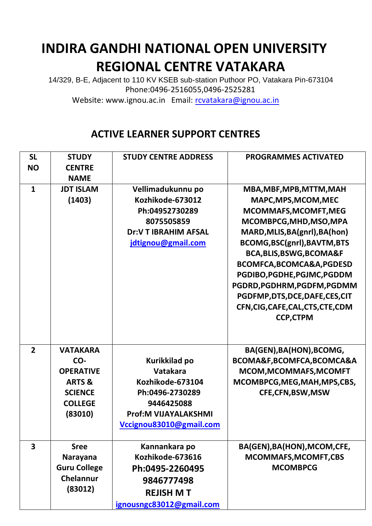## **INDIRA GANDHI NATIONAL OPEN UNIVERSITY REGIONAL CENTRE VATAKARA**

14/329, B-E, Adjacent to 110 KV KSEB sub-station Puthoor PO, Vatakara Pin-673104 Phone:0496-2516055,0496-2525281

Website: www.ignou.ac.in Email: [rcvatakara@ignou.ac.in](mailto:rcvatakara@ignou.ac.in)

## **ACTIVE LEARNER SUPPORT CENTRES**

|                         | <b>CENTRE</b>       |                             |                                     |
|-------------------------|---------------------|-----------------------------|-------------------------------------|
| <b>NO</b>               |                     |                             |                                     |
|                         | <b>NAME</b>         |                             |                                     |
| $\mathbf{1}$            | <b>JDT ISLAM</b>    | Vellimadukunnu po           | MBA, MBF, MPB, MTTM, MAH            |
|                         | (1403)              | Kozhikode-673012            | MAPC, MPS, MCOM, MEC                |
|                         |                     | Ph:04952730289              | MCOMMAFS, MCOMFT, MEG               |
|                         |                     | 8075505859                  | MCOMBPCG, MHD, MSO, MPA             |
|                         |                     | <b>Dr:V T IBRAHIM AFSAL</b> | MARD, MLIS, BA(gnrl), BA(hon)       |
|                         |                     | jdtignou@gmail.com          | BCOMG, BSC(gnrl), BAVTM, BTS        |
|                         |                     |                             | <b>BCA, BLIS, BSWG, BCOMA&amp;F</b> |
|                         |                     |                             | BCOMFCA, BCOMCA&A, PGDESD           |
|                         |                     |                             | PGDIBO, PGDHE, PGJMC, PGDDM         |
|                         |                     |                             | PGDRD, PGDHRM, PGDFM, PGDMM         |
|                         |                     |                             | PGDFMP,DTS,DCE,DAFE,CES,CIT         |
|                         |                     |                             | CFN, CIG, CAFE, CAL, CTS, CTE, CDM  |
|                         |                     |                             | <b>CCP,CTPM</b>                     |
|                         |                     |                             |                                     |
|                         |                     |                             |                                     |
| $\overline{2}$          | <b>VATAKARA</b>     |                             | BA(GEN), BA(HON), BCOMG,            |
|                         | CO-                 | Kurikkilad po               | BCOMA&F, BCOMFCA, BCOMCA&A          |
|                         | <b>OPERATIVE</b>    | Vatakara                    | MCOM, MCOMMAFS, MCOMFT              |
|                         | <b>ARTS &amp;</b>   | Kozhikode-673104            | MCOMBPCG, MEG, MAH, MPS, CBS,       |
|                         | <b>SCIENCE</b>      | Ph:0496-2730289             | CFE,CFN,BSW,MSW                     |
|                         | <b>COLLEGE</b>      | 9446425088                  |                                     |
|                         | (83010)             | <b>Prof:M VIJAYALAKSHMI</b> |                                     |
|                         |                     | Vccignou83010@gmail.com     |                                     |
| $\overline{\mathbf{3}}$ | <b>Sree</b>         | Kannankara po               | BA(GEN), BA(HON), MCOM, CFE,        |
|                         | <b>Narayana</b>     | Kozhikode-673616            | MCOMMAFS, MCOMFT, CBS               |
|                         | <b>Guru College</b> | Ph:0495-2260495             | <b>MCOMBPCG</b>                     |
|                         | Chelannur           | 9846777498                  |                                     |
|                         | (83012)             | <b>REJISH MT</b>            |                                     |
|                         |                     | ignousngc83012@gmail.com    |                                     |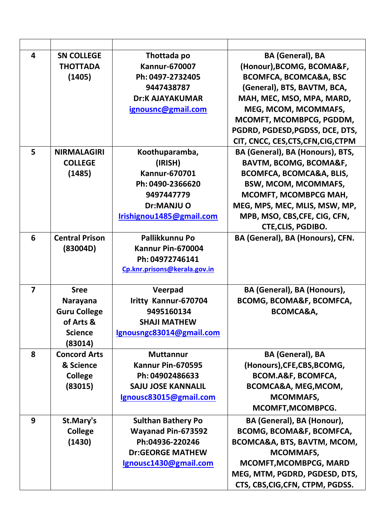| $\overline{\mathbf{4}}$ | <b>SN COLLEGE</b><br><b>THOTTADA</b><br>(1405)                                                  | Thottada po<br><b>Kannur-670007</b><br>Ph: 0497-2732405<br>9447438787<br><b>Dr:K AJAYAKUMAR</b><br>ignousnc@gmail.com         | <b>BA (General), BA</b><br>(Honour), BCOMG, BCOMA&F,<br><b>BCOMFCA, BCOMCA&amp;A, BSC</b><br>(General), BTS, BAVTM, BCA,<br>MAH, MEC, MSO, MPA, MARD,<br>MEG, MCOM, MCOMMAFS,<br>MCOMFT, MCOMBPCG, PGDDM,<br>PGDRD, PGDESD, PGDSS, DCE, DTS,<br>CIT, CNCC, CES, CTS, CFN, CIG, CTPM |
|-------------------------|-------------------------------------------------------------------------------------------------|-------------------------------------------------------------------------------------------------------------------------------|-------------------------------------------------------------------------------------------------------------------------------------------------------------------------------------------------------------------------------------------------------------------------------------|
| 5                       | <b>NIRMALAGIRI</b><br><b>COLLEGE</b><br>(1485)                                                  | Koothuparamba,<br>(IRISH)<br><b>Kannur-670701</b><br>Ph: 0490-2366620<br>9497447779<br>Dr:MANJU O<br>Irishignou1485@gmail.com | BA (General), BA (Honours), BTS,<br><b>BAVTM, BCOMG, BCOMA&amp;F,</b><br>BCOMFCA, BCOMCA&A, BLIS,<br><b>BSW, MCOM, MCOMMAFS,</b><br>MCOMFT, MCOMBPCG MAH,<br>MEG, MPS, MEC, MLIS, MSW, MP,<br>MPB, MSO, CBS, CFE, CIG, CFN,<br><b>CTE, CLIS, PGDIBO.</b>                            |
| 6                       | <b>Central Prison</b><br>(83004D)                                                               | Pallikkunnu Po<br>Kannur Pin-670004<br>Ph: 04972746141<br>Cp.knr.prisons@kerala.gov.in                                        | BA (General), BA (Honours), CFN.                                                                                                                                                                                                                                                    |
| $\overline{7}$          | <b>Sree</b><br><b>Narayana</b><br><b>Guru College</b><br>of Arts &<br><b>Science</b><br>(83014) | Veerpad<br>Iritty Kannur-670704<br>9495160134<br><b>SHAJI MATHEW</b><br>Ignousngc83014@gmail.com                              | BA (General), BA (Honours),<br><b>BCOMG, BCOMA&amp;F, BCOMFCA,</b><br>BCOMCA&A,                                                                                                                                                                                                     |
| 8                       | <b>Concord Arts</b><br>& Science<br><b>College</b><br>(83015)                                   | <b>Muttannur</b><br>Kannur Pin-670595<br>Ph: 04902486633<br><b>SAJU JOSE KANNALIL</b><br>Ignousc83015@gmail.com               | <b>BA (General), BA</b><br>(Honours), CFE, CBS, BCOMG,<br>BCOM.A&F, BCOMFCA,<br>BCOMCA&A, MEG, MCOM,<br><b>MCOMMAFS,</b><br>MCOMFT, MCOMBPCG.                                                                                                                                       |
| 9                       | St.Mary's<br><b>College</b><br>(1430)                                                           | <b>Sulthan Bathery Po</b><br>Wayanad Pin-673592<br>Ph:04936-220246<br><b>Dr:GEORGE MATHEW</b><br>Ignousc1430@gmail.com        | BA (General), BA (Honour),<br><b>BCOMG, BCOMA&amp;F, BCOMFCA,</b><br>BCOMCA&A, BTS, BAVTM, MCOM,<br><b>MCOMMAFS,</b><br><b>MCOMFT, MCOMBPCG, MARD</b><br>MEG, MTM, PGDRD, PGDESD, DTS,<br>CTS, CBS, CIG, CFN, CTPM, PGDSS.                                                          |